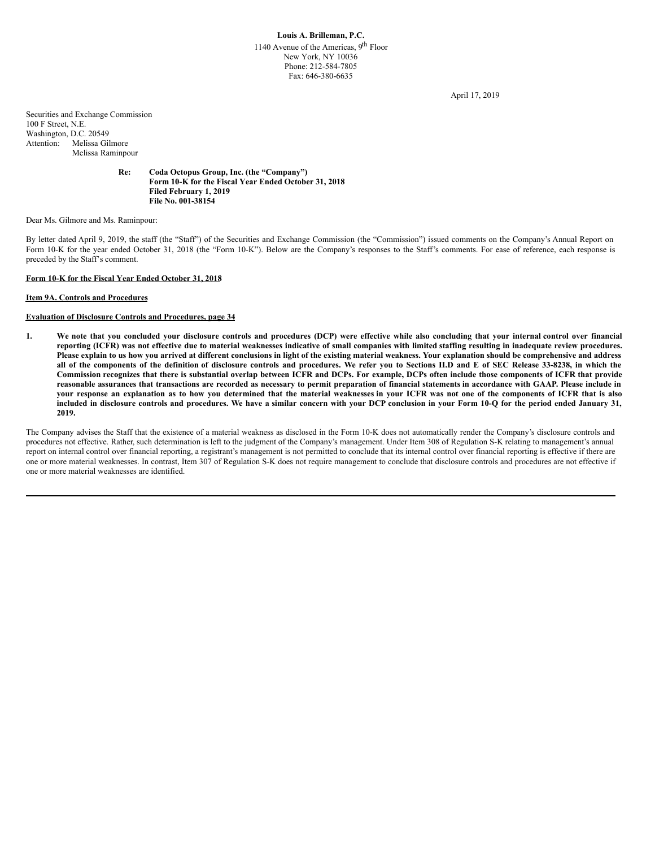April 17, 2019

Securities and Exchange Commission 100 F Street, N.E. Washington, D.C. 20549 Attention: Melissa Gilmore Melissa Raminpour

## **Re: Coda Octopus Group, Inc. (the "Company") Form 10-K for the Fiscal Year Ended October 31, 2018 Filed February 1, 2019 File No. 001-38154**

Dear Ms. Gilmore and Ms. Raminpour:

By letter dated April 9, 2019, the staff (the "Staff") of the Securities and Exchange Commission (the "Commission") issued comments on the Company's Annual Report on Form 10-K for the year ended October 31, 2018 (the "Form 10-K"). Below are the Company's responses to the Staff's comments. For ease of reference, each response is preceded by the Staff's comment.

# **Form 10-K for the Fiscal Year Ended October 31, 2018**

### **Item 9A. Controls and Procedures**

# **Evaluation of Disclosure Controls and Procedures, page 34**

1. We note that you concluded your disclosure controls and procedures (DCP) were effective while also concluding that your internal control over financial reporting (ICFR) was not effective due to material weaknesses indicative of small companies with limited staffing resulting in inadequate review procedures. Please explain to us how you arrived at different conclusions in light of the existing material weakness. Your explanation should be comprehensive and address all of the components of the definition of disclosure controls and procedures. We refer you to Sections II.D and E of SEC Release 33-8238, in which the Commission recognizes that there is substantial overlap between ICFR and DCPs. For example, DCPs often include those components of ICFR that provide reasonable assurances that transactions are recorded as necessary to permit preparation of financial statements in accordance with GAAP. Please include in your response an explanation as to how you determined that the material weaknesses in your ICFR was not one of the components of ICFR that is also included in disclosure controls and procedures. We have a similar concern with your DCP conclusion in your Form 10-Q for the period ended January 31, **2019.**

The Company advises the Staff that the existence of a material weakness as disclosed in the Form 10-K does not automatically render the Company's disclosure controls and procedures not effective. Rather, such determination is left to the judgment of the Company's management. Under Item 308 of Regulation S-K relating to management's annual report on internal control over financial reporting, a registrant's management is not permitted to conclude that its internal control over financial reporting is effective if there are one or more material weaknesses. In contrast, Item 307 of Regulation S-K does not require management to conclude that disclosure controls and procedures are not effective if one or more material weaknesses are identified.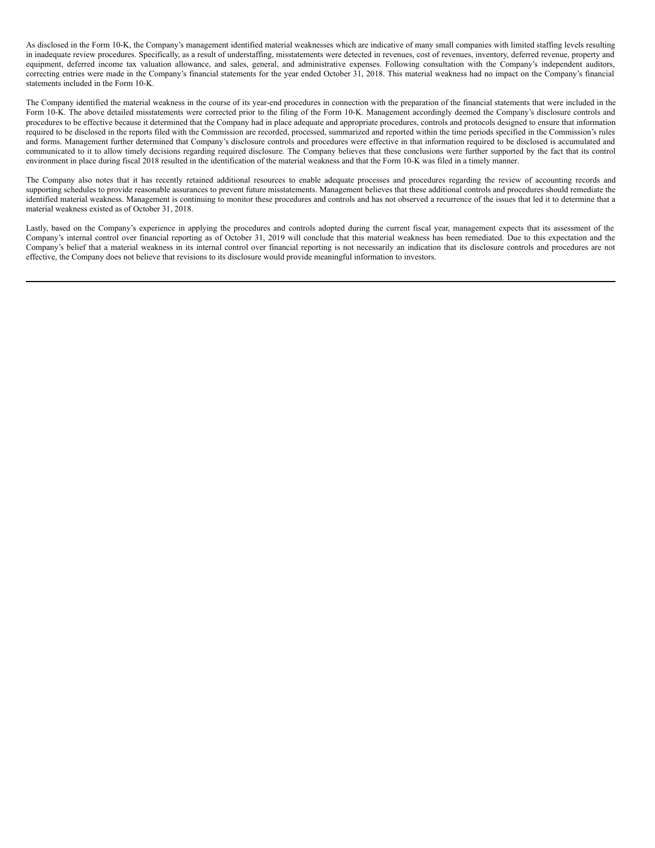As disclosed in the Form 10-K, the Company's management identified material weaknesses which are indicative of many small companies with limited staffing levels resulting in inadequate review procedures. Specifically, as a result of understaffing, misstatements were detected in revenues, cost of revenues, inventory, deferred revenue, property and equipment, deferred income tax valuation allowance, and sales, general, and administrative expenses. Following consultation with the Company's independent auditors, correcting entries were made in the Company's financial statements for the year ended October 31, 2018. This material weakness had no impact on the Company's financial statements included in the Form 10-K.

The Company identified the material weakness in the course of its year-end procedures in connection with the preparation of the financial statements that were included in the Form 10-K. The above detailed misstatements were corrected prior to the filing of the Form 10-K. Management accordingly deemed the Company's disclosure controls and procedures to be effective because it determined that the Company had in place adequate and appropriate procedures, controls and protocols designed to ensure that information required to be disclosed in the reports filed with the Commission are recorded, processed, summarized and reported within the time periods specified in the Commission's rules and forms. Management further determined that Company's disclosure controls and procedures were effective in that information required to be disclosed is accumulated and communicated to it to allow timely decisions regarding required disclosure. The Company believes that these conclusions were further supported by the fact that its control environment in place during fiscal 2018 resulted in the identification of the material weakness and that the Form 10-K was filed in a timely manner.

The Company also notes that it has recently retained additional resources to enable adequate processes and procedures regarding the review of accounting records and supporting schedules to provide reasonable assurances to prevent future misstatements. Management believes that these additional controls and procedures should remediate the identified material weakness. Management is continuing to monitor these procedures and controls and has not observed a recurrence of the issues that led it to determine that a material weakness existed as of October 31, 2018.

Lastly, based on the Company's experience in applying the procedures and controls adopted during the current fiscal year, management expects that its assessment of the Company's internal control over financial reporting as of October 31, 2019 will conclude that this material weakness has been remediated. Due to this expectation and the Company's belief that a material weakness in its internal control over financial reporting is not necessarily an indication that its disclosure controls and procedures are not effective, the Company does not believe that revisions to its disclosure would provide meaningful information to investors.